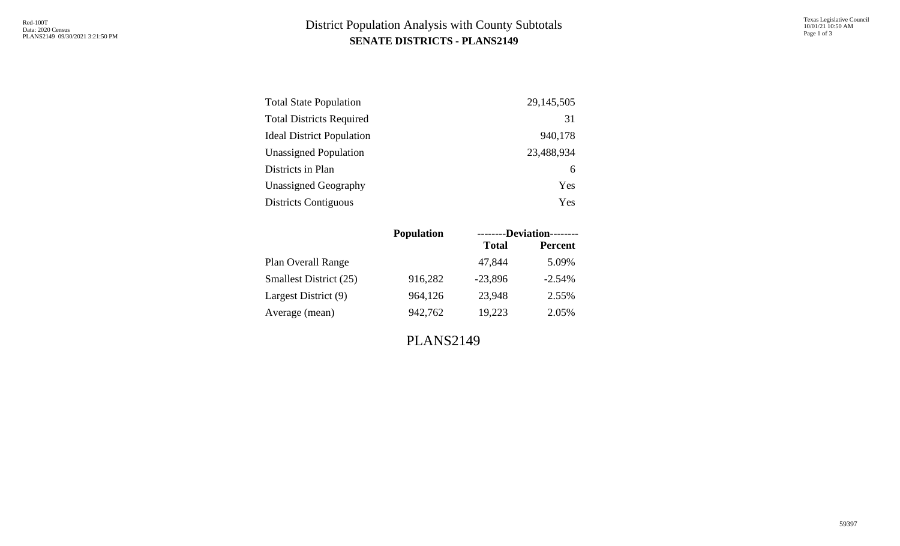## **SENATE DISTRICTS - PLANS2149** District Population Analysis with County Subtotals

| <b>Total State Population</b>    | 29, 145, 505 |
|----------------------------------|--------------|
| <b>Total Districts Required</b>  | 31           |
| <b>Ideal District Population</b> | 940,178      |
| <b>Unassigned Population</b>     | 23,488,934   |
| Districts in Plan                | 6            |
| <b>Unassigned Geography</b>      | Yes          |
| <b>Districts Contiguous</b>      | Yes          |

|                               | <b>Population</b> | --------Deviation-------- |                |  |  |  |  |  |
|-------------------------------|-------------------|---------------------------|----------------|--|--|--|--|--|
|                               |                   | <b>Total</b>              | <b>Percent</b> |  |  |  |  |  |
| Plan Overall Range            |                   | 47,844                    | 5.09%          |  |  |  |  |  |
| <b>Smallest District (25)</b> | 916,282           | $-23,896$                 | $-2.54%$       |  |  |  |  |  |
| Largest District (9)          | 964,126           | 23,948                    | 2.55%          |  |  |  |  |  |
| Average (mean)                | 942,762           | 19,223                    | 2.05%          |  |  |  |  |  |
|                               |                   |                           |                |  |  |  |  |  |

PLANS2149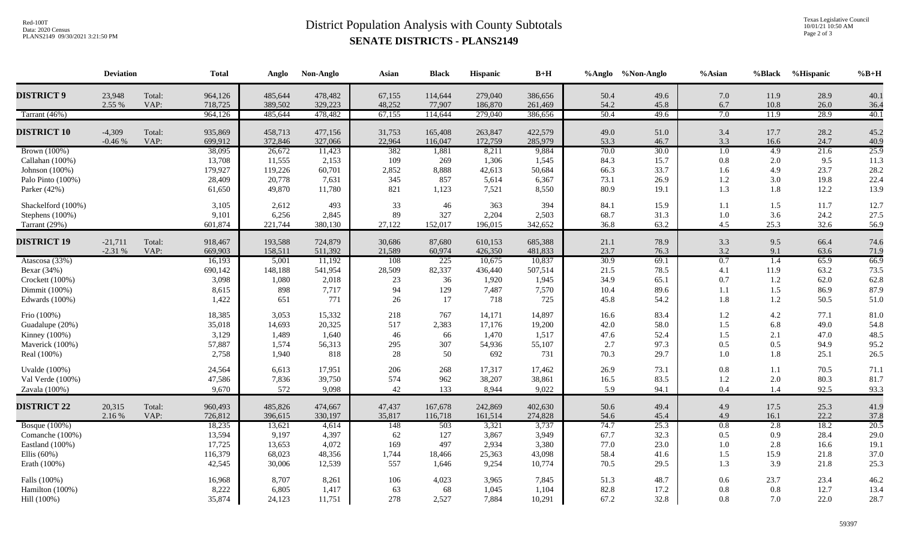## **SENATE DISTRICTS - PLANS2149** District Population Analysis with County Subtotals

Texas Legislative Council 10/01/21 10:50 AM Page 2 of 3

|                      | <b>Deviation</b>      |                | <b>Total</b>       | Anglo              | Non-Anglo          | Asian            | <b>Black</b>       | Hispanic           | $\mathbf{B}+\mathbf{H}$ |              | %Anglo %Non-Anglo | %Asian           | %Black     | %Hispanic    | $%B+H$              |
|----------------------|-----------------------|----------------|--------------------|--------------------|--------------------|------------------|--------------------|--------------------|-------------------------|--------------|-------------------|------------------|------------|--------------|---------------------|
| <b>DISTRICT 9</b>    | 23,948                | Total:         | 964,126            | 485,644            | 478,482            | 67,155           | 114,644            | 279,040            | 386,656                 | 50.4         | 49.6              | 7.0              | 11.9       | 28.9         | 40.1                |
|                      | 2.55 %                | VAP:           | 718,725            | 389,502            | 329,223            | 48,252           | 77,907             | 186,870            | 261,469                 | 54.2         | 45.8              | 6.7              | 10.8       | 26.0         | 36.4                |
| Tarrant (46%)        |                       |                | 964,126            | 485,644            | 478,482            | 67,155           | 114,644            | 279,040            | 386,656                 | 50.4         | 49.6              | 7.0              | 11.9       | 28.9         | 40.1                |
| <b>DISTRICT 10</b>   | $-4,309$              | Total:         | 935,869            | 458,713            | 477,156            | 31,753           | 165,408            | 263,847            | 422,579                 | 49.0         | 51.0              | 3.4              | 17.7       | 28.2         | 45.2                |
|                      | $-0.46%$              | VAP:           | 699,912            | 372,846            | 327,066            | 22,964           | 116,047            | 172,759            | 285,979                 | 53.3         | 46.7              | 3.3              | 16.6       | 24.7         | 40.9                |
| <b>Brown</b> (100%)  |                       |                | 38,095             | 26,672             | 11,423             | 382              | 1,881              | 8,211              | 9,884                   | 70.0         | 30.0              | $\overline{1.0}$ | 4.9        | 21.6         | 25.9                |
| Callahan (100%)      |                       |                | 13,708             | 11,555             | 2,153              | 109              | 269                | 1,306              | 1,545                   | 84.3         | 15.7              | 0.8              | 2.0        | 9.5          | 11.3                |
| Johnson (100%)       |                       |                | 179,927            | 119,226            | 60,701             | 2,852            | 8,888              | 42,613             | 50,684                  | 66.3         | 33.7              | 1.6              | 4.9        | 23.7         | 28.2                |
| Palo Pinto (100%)    |                       |                | 28,409             | 20,778             | 7,631              | 345              | 857                | 5,614              | 6,367                   | 73.1         | 26.9              | $1.2\,$          | $3.0\,$    | 19.8         | 22.4                |
| Parker (42%)         |                       |                | 61,650             | 49,870             | 11,780             | 821              | 1,123              | 7,521              | 8,550                   | 80.9         | 19.1              | 1.3              | 1.8        | 12.2         | 13.9                |
| Shackelford (100%)   |                       |                | 3,105              | 2,612              | 493                | 33               | 46                 | 363                | 394                     | 84.1         | 15.9              | 1.1              | 1.5        | 11.7         | 12.7                |
| Stephens (100%)      |                       |                | 9,101              | 6,256              | 2,845              | 89               | 327                | 2,204              | 2,503                   | 68.7         | 31.3              | 1.0              | 3.6        | 24.2         | 27.5                |
| Tarrant (29%)        |                       |                | 601,874            | 221,744            | 380,130            | 27,122           | 152,017            | 196,015            | 342,652                 | 36.8         | 63.2              | 4.5              | 25.3       | 32.6         | 56.9                |
| <b>DISTRICT 19</b>   |                       |                |                    |                    |                    |                  |                    |                    |                         |              |                   |                  |            |              |                     |
|                      | $-21,711$<br>$-2.31%$ | Total:<br>VAP: | 918,467<br>669,903 | 193,588<br>158,511 | 724,879<br>511,392 | 30,686<br>21,589 | 87,680<br>60,974   | 610,153<br>426,350 | 685,388<br>481,833      | 21.1<br>23.7 | 78.9<br>76.3      | 3.3<br>3.2       | 9.5<br>9.1 | 66.4<br>63.6 | 74.6<br>71.9        |
| Atascosa (33%)       |                       |                | 16,193             | 5,001              | 11,192             | 108              | 225                | 10,675             | 10,837                  | 30.9         | 69.1              | 0.7              | 1.4        | 65.9         | 66.9                |
| Bexar (34%)          |                       |                | 690,142            | 148,188            | 541,954            | 28,509           | 82,337             | 436,440            | 507,514                 | 21.5         | 78.5              | 4.1              | 11.9       | 63.2         | 73.5                |
| Crockett (100%)      |                       |                | 3,098              | 1,080              | 2,018              | 23               | 36                 | 1,920              | 1,945                   | 34.9         | 65.1              | 0.7              | 1.2        | 62.0         | 62.8                |
| Dimmit (100%)        |                       |                | 8,615              | 898                | 7,717              | 94               | 129                | 7,487              | 7,570                   | 10.4         | 89.6              | 1.1              | 1.5        | 86.9         | 87.9                |
| Edwards (100%)       |                       |                | 1,422              | 651                | 771                | 26               | 17                 | 718                | 725                     | 45.8         | 54.2              | 1.8              | 1.2        | 50.5         | 51.0                |
| Frio (100%)          |                       |                | 18,385             | 3,053              | 15,332             | 218              | 767                | 14,171             | 14,897                  | 16.6         | 83.4              | $1.2\,$          | $4.2\,$    | 77.1         | 81.0                |
| Guadalupe (20%)      |                       |                | 35,018             | 14,693             | 20,325             | 517              | 2,383              | 17,176             | 19,200                  | 42.0         | 58.0              | 1.5              | 6.8        | 49.0         | 54.8                |
| Kinney (100%)        |                       |                | 3,129              | 1,489              | 1,640              | 46               | 66                 | 1,470              | 1,517                   | 47.6         | 52.4              | 1.5              | 2.1        | 47.0         | 48.5                |
| Maverick (100%)      |                       |                | 57,887             | 1,574              | 56,313             | 295              | 307                | 54,936             | 55,107                  | 2.7          | 97.3              | 0.5              | 0.5        | 94.9         | 95.2                |
| Real (100%)          |                       |                | 2,758              | 1,940              | 818                | 28               | 50                 | 692                | 731                     | 70.3         | 29.7              | 1.0              | 1.8        | 25.1         | 26.5                |
| <b>Uvalde</b> (100%) |                       |                | 24,564             | 6,613              | 17,951             | 206              | 268                | 17,317             | 17,462                  | 26.9         | 73.1              | 0.8              | 1.1        | 70.5         | 71.1                |
| Val Verde (100%)     |                       |                | 47,586             | 7,836              | 39,750             | 574              | 962                | 38,207             | 38,861                  | 16.5         | 83.5              | 1.2              | $2.0\,$    | 80.3         | 81.7                |
| Zavala (100%)        |                       |                | 9,670              | 572                | 9,098              | 42               | 133                | 8,944              | 9,022                   | 5.9          | 94.1              | 0.4              | 1.4        | 92.5         | 93.3                |
| <b>DISTRICT 22</b>   | 20,315                | Total:         | 960,493            |                    |                    | 47,437           |                    | 242,869            | 402,630                 | 50.6         | 49.4              | 4.9              | 17.5       | 25.3         | 41.9                |
|                      | 2.16 %                | VAP:           | 726,812            | 485,826<br>396,615 | 474,667<br>330,197 | 35,817           | 167,678<br>116,718 | 161,514            | 274,828                 | 54.6         | 45.4              | 4.9              | 16.1       | 22.2         |                     |
| <b>Bosque</b> (100%) |                       |                | 18,235             | 13,621             | 4,614              | 148              | 503                | 3,321              | 3,737                   | 74.7         | 25.3              | 0.8              | 2.8        | 18.2         | $\frac{37.8}{20.5}$ |
| Comanche (100%)      |                       |                | 13,594             | 9,197              | 4,397              | 62               | 127                | 3,867              | 3,949                   | 67.7         | 32.3              | 0.5              | 0.9        | 28.4         | 29.0                |
| Eastland (100%)      |                       |                | 17,725             | 13,653             | 4,072              | 169              | 497                | 2,934              | 3,380                   | 77.0         | 23.0              | 1.0              | 2.8        | 16.6         | 19.1                |
| Ellis $(60\%)$       |                       |                | 116,379            | 68,023             | 48,356             | 1,744            | 18,466             | 25,363             | 43,098                  | 58.4         | 41.6              | 1.5              | 15.9       | 21.8         | 37.0                |
| Erath (100%)         |                       |                | 42,545             | 30,006             | 12,539             | 557              | 1,646              | 9,254              | 10,774                  | 70.5         | 29.5              | 1.3              | 3.9        | 21.8         | 25.3                |
| Falls (100%)         |                       |                | 16,968             | 8,707              | 8,261              | 106              | 4,023              | 3,965              | 7,845                   | 51.3         | 48.7              | 0.6              | 23.7       | 23.4         | 46.2                |
| Hamilton (100%)      |                       |                | 8,222              | 6,805              | 1,417              | 63               | 68                 | 1,045              | 1,104                   | 82.8         | 17.2              | 0.8              | 0.8        | 12.7         | 13.4                |
| Hill (100%)          |                       |                | 35,874             | 24,123             | 11,751             | 278              | 2,527              | 7,884              | 10,291                  | 67.2         | 32.8              | 0.8              | 7.0        | 22.0         | 28.7                |